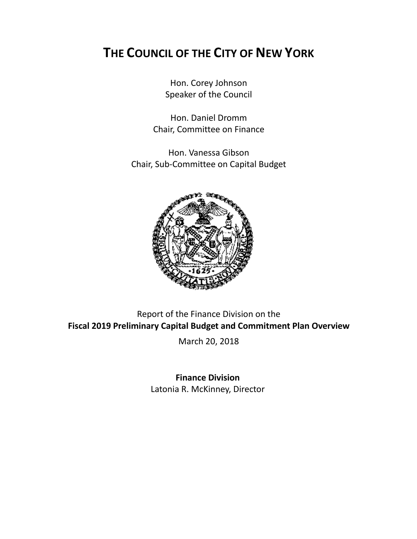# **THE COUNCIL OF THE CITY OF NEW YORK**

Hon. Corey Johnson Speaker of the Council

Hon. Daniel Dromm Chair, Committee on Finance

Hon. Vanessa Gibson Chair, Sub-Committee on Capital Budget



Report of the Finance Division on the **Fiscal 2019 Preliminary Capital Budget and Commitment Plan Overview**

March 20, 2018

**Finance Division** Latonia R. McKinney, Director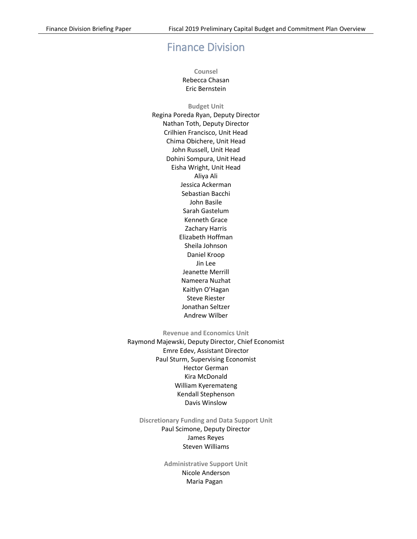## Finance Division

**Counsel** Rebecca Chasan Eric Bernstein

**Budget Unit** Regina Poreda Ryan, Deputy Director Nathan Toth, Deputy Director Crilhien Francisco, Unit Head Chima Obichere, Unit Head John Russell, Unit Head Dohini Sompura, Unit Head Eisha Wright, Unit Head Aliya Ali Jessica Ackerman Sebastian Bacchi John Basile Sarah Gastelum Kenneth Grace Zachary Harris Elizabeth Hoffman Sheila Johnson Daniel Kroop Jin Lee Jeanette Merrill Nameera Nuzhat Kaitlyn O'Hagan Steve Riester Jonathan Seltzer Andrew Wilber

**Revenue and Economics Unit**

Raymond Majewski, Deputy Director, Chief Economist Emre Edev, Assistant Director Paul Sturm, Supervising Economist Hector German Kira McDonald William Kyeremateng Kendall Stephenson Davis Winslow

**Discretionary Funding and Data Support Unit** Paul Scimone, Deputy Director James Reyes Steven Williams

> **Administrative Support Unit** Nicole Anderson Maria Pagan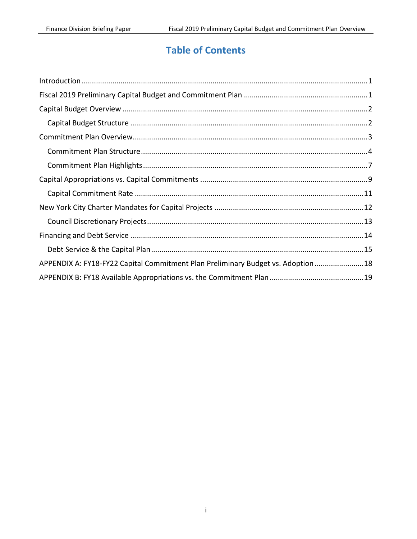## **Table of Contents**

| APPENDIX A: FY18-FY22 Capital Commitment Plan Preliminary Budget vs. Adoption  18 |  |
|-----------------------------------------------------------------------------------|--|
|                                                                                   |  |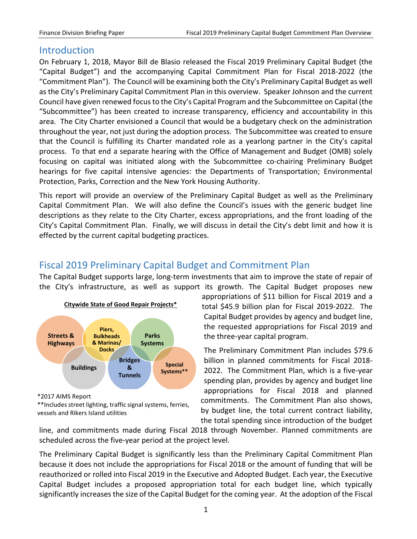## <span id="page-3-0"></span>**Introduction**

On February 1, 2018, Mayor Bill de Blasio released the Fiscal 2019 Preliminary Capital Budget (the "Capital Budget") and the accompanying Capital Commitment Plan for Fiscal 2018-2022 (the "Commitment Plan"). The Council will be examining both the City's Preliminary Capital Budget as well as the City's Preliminary Capital Commitment Plan in this overview. Speaker Johnson and the current Council have given renewed focus to the City's Capital Program and the Subcommittee on Capital (the "Subcommittee") has been created to increase transparency, efficiency and accountability in this area. The City Charter envisioned a Council that would be a budgetary check on the administration throughout the year, not just during the adoption process. The Subcommittee was created to ensure that the Council is fulfilling its Charter mandated role as a yearlong partner in the City's capital process. To that end a separate hearing with the Office of Management and Budget (OMB) solely focusing on capital was initiated along with the Subcommittee co-chairing Preliminary Budget hearings for five capital intensive agencies: the Departments of Transportation; Environmental Protection, Parks, Correction and the New York Housing Authority.

This report will provide an overview of the Preliminary Capital Budget as well as the Preliminary Capital Commitment Plan. We will also define the Council's issues with the generic budget line descriptions as they relate to the City Charter, excess appropriations, and the front loading of the City's Capital Commitment Plan. Finally, we will discuss in detail the City's debt limit and how it is effected by the current capital budgeting practices.

## <span id="page-3-1"></span>Fiscal 2019 Preliminary Capital Budget and Commitment Plan

The Capital Budget supports large, long-term investments that aim to improve the state of repair of the City's infrastructure, as well as support its growth. The Capital Budget proposes new



<sup>\*2017</sup> AIMS Report

appropriations of \$11 billion for Fiscal 2019 and a total \$45.9 billion plan for Fiscal 2019-2022. The Capital Budget provides by agency and budget line, the requested appropriations for Fiscal 2019 and the three-year capital program.

The Preliminary Commitment Plan includes \$79.6 billion in planned commitments for Fiscal 2018- 2022. The Commitment Plan, which is a five-year spending plan, provides by agency and budget line appropriations for Fiscal 2018 and planned commitments. The Commitment Plan also shows, by budget line, the total current contract liability, the total spending since introduction of the budget

line, and commitments made during Fiscal 2018 through November. Planned commitments are scheduled across the five-year period at the project level.

The Preliminary Capital Budget is significantly less than the Preliminary Capital Commitment Plan because it does not include the appropriations for Fiscal 2018 or the amount of funding that will be reauthorized or rolled into Fiscal 2019 in the Executive and Adopted Budget. Each year, the Executive Capital Budget includes a proposed appropriation total for each budget line, which typically significantly increases the size of the Capital Budget for the coming year. At the adoption of the Fiscal

<sup>\*\*</sup>Includes street lighting, traffic signal systems, ferries, vessels and Rikers Island utilities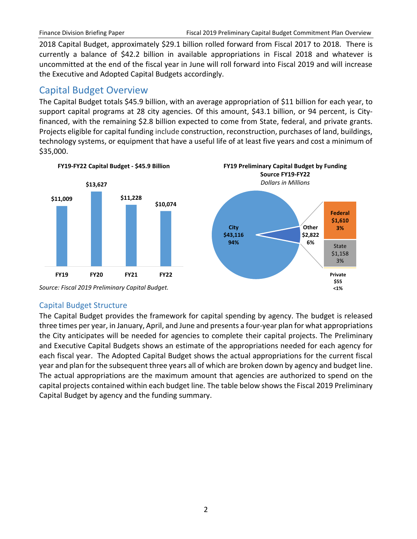2018 Capital Budget, approximately \$29.1 billion rolled forward from Fiscal 2017 to 2018. There is currently a balance of \$42.2 billion in available appropriations in Fiscal 2018 and whatever is uncommitted at the end of the fiscal year in June will roll forward into Fiscal 2019 and will increase the Executive and Adopted Capital Budgets accordingly.

## <span id="page-4-0"></span>Capital Budget Overview

The Capital Budget totals \$45.9 billion, with an average appropriation of \$11 billion for each year, to support capital programs at 28 city agencies. Of this amount, \$43.1 billion, or 94 percent, is Cityfinanced, with the remaining \$2.8 billion expected to come from State, federal, and private grants. Projects eligible for capital funding include construction, reconstruction, purchases of land, buildings, technology systems, or equipment that have a useful life of at least five years and cost a minimum of \$35,000.



#### <span id="page-4-1"></span>Capital Budget Structure

The Capital Budget provides the framework for capital spending by agency. The budget is released three times per year, in January, April, and June and presents a four-year plan for what appropriations the City anticipates will be needed for agencies to complete their capital projects. The Preliminary and Executive Capital Budgets shows an estimate of the appropriations needed for each agency for each fiscal year. The Adopted Capital Budget shows the actual appropriations for the current fiscal year and plan for the subsequent three years all of which are broken down by agency and budget line. The actual appropriations are the maximum amount that agencies are authorized to spend on the capital projects contained within each budget line. The table below shows the Fiscal 2019 Preliminary Capital Budget by agency and the funding summary.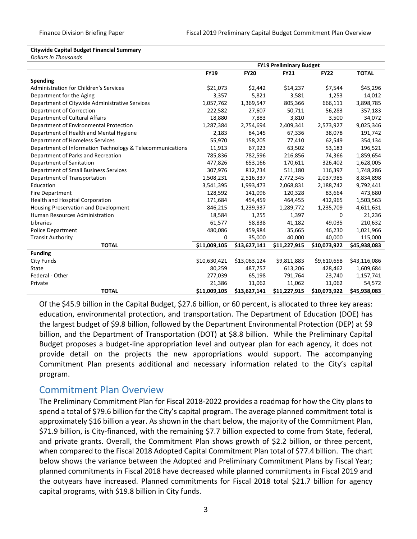#### **Citywide Capital Budget Financial Summary**

*Dollars in Thousands*

|                                                           | <b>FY19 Preliminary Budget</b> |              |              |              |              |
|-----------------------------------------------------------|--------------------------------|--------------|--------------|--------------|--------------|
|                                                           | <b>FY19</b>                    | <b>FY20</b>  | <b>FY21</b>  | <b>FY22</b>  | <b>TOTAL</b> |
| Spending                                                  |                                |              |              |              |              |
| <b>Administration for Children's Services</b>             | \$21,073                       | \$2,442      | \$14,237     | \$7,544      | \$45,296     |
| Department for the Aging                                  | 3,357                          | 5,821        | 3,581        | 1,253        | 14,012       |
| Department of Citywide Administrative Services            | 1,057,762                      | 1,369,547    | 805,366      | 666,111      | 3,898,785    |
| Department of Correction                                  | 222,582                        | 27,607       | 50,711       | 56,283       | 357,183      |
| Department of Cultural Affairs                            | 18,880                         | 7,883        | 3,810        | 3,500        | 34,072       |
| Department of Environmental Protection                    | 1,287,384                      | 2,754,694    | 2,409,341    | 2,573,927    | 9,025,346    |
| Department of Health and Mental Hygiene                   | 2,183                          | 84,145       | 67,336       | 38,078       | 191,742      |
| Department of Homeless Services                           | 55,970                         | 158,205      | 77,410       | 62,549       | 354,134      |
| Department of Information Technology & Telecommunications | 11,913                         | 67,923       | 63,502       | 53,183       | 196,521      |
| Department of Parks and Recreation                        | 785,836                        | 782,596      | 216,856      | 74,366       | 1,859,654    |
| Department of Sanitation                                  | 477,826                        | 653,166      | 170,611      | 326,402      | 1,628,005    |
| Department of Small Business Services                     | 307,976                        | 812,734      | 511,180      | 116,397      | 1,748,286    |
| Department of Transportation                              | 1,508,231                      | 2,516,337    | 2,772,345    | 2,037,985    | 8,834,898    |
| Education                                                 | 3,541,395                      | 1,993,473    | 2,068,831    | 2,188,742    | 9,792,441    |
| <b>Fire Department</b>                                    | 128,592                        | 141,096      | 120,328      | 83,664       | 473,680      |
| <b>Health and Hospital Corporation</b>                    | 171,684                        | 454,459      | 464,455      | 412,965      | 1,503,563    |
| Housing Preservation and Development                      | 846,215                        | 1,239,937    | 1,289,772    | 1,235,709    | 4,611,631    |
| Human Resources Administration                            | 18,584                         | 1,255        | 1,397        | 0            | 21,236       |
| Libraries                                                 | 61,577                         | 58,838       | 41,182       | 49,035       | 210,632      |
| <b>Police Department</b>                                  | 480,086                        | 459,984      | 35,665       | 46,230       | 1,021,966    |
| <b>Transit Authority</b>                                  | 0                              | 35,000       | 40,000       | 40,000       | 115,000      |
| <b>TOTAL</b>                                              | \$11,009,105                   | \$13,627,141 | \$11,227,915 | \$10,073,922 | \$45,938,083 |
| <b>Funding</b>                                            |                                |              |              |              |              |
| City Funds                                                | \$10,630,421                   | \$13,063,124 | \$9,811,883  | \$9,610,658  | \$43,116,086 |
| State                                                     | 80,259                         | 487,757      | 613,206      | 428,462      | 1,609,684    |
| Federal - Other                                           | 277,039                        | 65,198       | 791,764      | 23,740       | 1,157,741    |
| Private                                                   | 21,386                         | 11,062       | 11,062       | 11,062       | 54,572       |
| <b>TOTAL</b>                                              | \$11,009,105                   | \$13,627,141 | \$11,227,915 | \$10,073,922 | \$45,938,083 |

Of the \$45.9 billion in the Capital Budget, \$27.6 billion, or 60 percent, is allocated to three key areas: education, environmental protection, and transportation. The Department of Education (DOE) has the largest budget of \$9.8 billion, followed by the Department Environmental Protection (DEP) at \$9 billion, and the Department of Transportation (DOT) at \$8.8 billion. While the Preliminary Capital Budget proposes a budget-line appropriation level and outyear plan for each agency, it does not provide detail on the projects the new appropriations would support. The accompanying Commitment Plan presents additional and necessary information related to the City's capital program.

#### <span id="page-5-0"></span>Commitment Plan Overview

The Preliminary Commitment Plan for Fiscal 2018-2022 provides a roadmap for how the City plans to spend a total of \$79.6 billion for the City's capital program. The average planned commitment total is approximately \$16 billion a year. As shown in the chart below, the majority of the Commitment Plan, \$71.9 billion, is City-financed, with the remaining \$7.7 billion expected to come from State, federal, and private grants. Overall, the Commitment Plan shows growth of \$2.2 billion, or three percent, when compared to the Fiscal 2018 Adopted Capital Commitment Plan total of \$77.4 billion. The chart below shows the variance between the Adopted and Preliminary Commitment Plans by Fiscal Year; planned commitments in Fiscal 2018 have decreased while planned commitments in Fiscal 2019 and the outyears have increased. Planned commitments for Fiscal 2018 total \$21.7 billion for agency capital programs, with \$19.8 billion in City funds.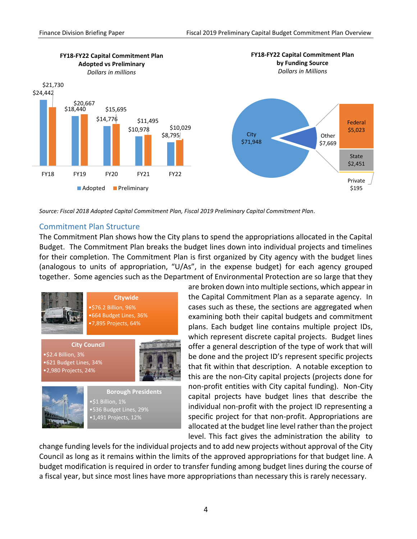

*Source: Fiscal 2018 Adopted Capital Commitment Plan, Fiscal 2019 Preliminary Capital Commitment Plan.*

#### <span id="page-6-0"></span>Commitment Plan Structure

The Commitment Plan shows how the City plans to spend the appropriations allocated in the Capital Budget. The Commitment Plan breaks the budget lines down into individual projects and timelines for their completion. The Commitment Plan is first organized by City agency with the budget lines (analogous to units of appropriation, "U/As", in the expense budget) for each agency grouped together. Some agencies such as the Department of Environmental Protection are so large that they





**Borough Presidents** •\$1 Billion, 1% •536 Budget Lines, 29% •1,491 Projects, 12%

are broken down into multiple sections, which appear in the Capital Commitment Plan as a separate agency. In cases such as these, the sections are aggregated when examining both their capital budgets and commitment plans. Each budget line contains multiple project IDs, which represent discrete capital projects. Budget lines offer a general description of the type of work that will be done and the project ID's represent specific projects that fit within that description. A notable exception to this are the non-City capital projects (projects done for non-profit entities with City capital funding). Non-City capital projects have budget lines that describe the individual non-profit with the project ID representing a specific project for that non-profit. Appropriations are allocated at the budget line level rather than the project level. This fact gives the administration the ability to

change funding levels for the individual projects and to add new projects without approval of the City Council as long as it remains within the limits of the approved appropriations for that budget line. A budget modification is required in order to transfer funding among budget lines during the course of a fiscal year, but since most lines have more appropriations than necessary this is rarely necessary.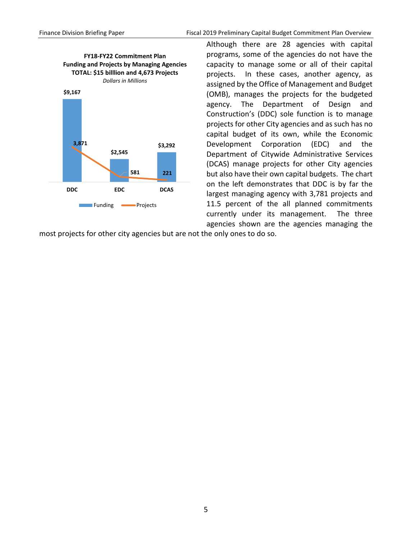

Although there are 28 agencies with capital programs, some of the agencies do not have the capacity to manage some or all of their capital projects. In these cases, another agency, as assigned by the Office of Management and Budget (OMB), manages the projects for the budgeted agency. The Department of Design and Construction's (DDC) sole function is to manage projects for other City agencies and as such has no capital budget of its own, while the Economic Development Corporation (EDC) and the Department of Citywide Administrative Services (DCAS) manage projects for other City agencies but also have their own capital budgets. The chart on the left demonstrates that DDC is by far the largest managing agency with 3,781 projects and 11.5 percent of the all planned commitments currently under its management. The three agencies shown are the agencies managing the

most projects for other city agencies but are not the only ones to do so.

5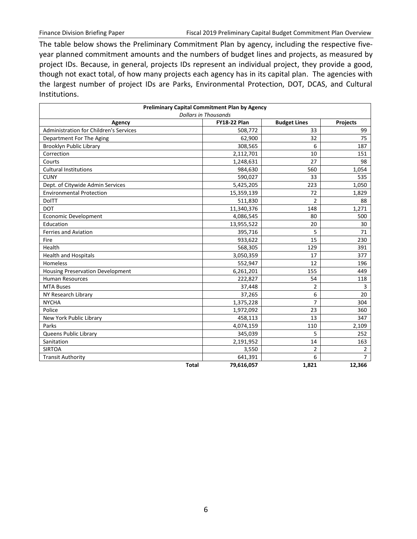The table below shows the Preliminary Commitment Plan by agency, including the respective fiveyear planned commitment amounts and the numbers of budget lines and projects, as measured by project IDs. Because, in general, projects IDs represent an individual project, they provide a good, though not exact total, of how many projects each agency has in its capital plan. The agencies with the largest number of project IDs are Parks, Environmental Protection, DOT, DCAS, and Cultural Institutions.

| <b>Preliminary Capital Commitment Plan by Agency</b>                |                        |                           |                |  |  |  |
|---------------------------------------------------------------------|------------------------|---------------------------|----------------|--|--|--|
| <b>Dollars in Thousands</b><br><b>FY18-22 Plan</b>                  |                        |                           |                |  |  |  |
| Agency<br>Administration for Children's Services                    | 508,772                | <b>Budget Lines</b><br>33 | Projects<br>99 |  |  |  |
| Department For The Aging                                            | 62,900                 | 32                        | 75             |  |  |  |
|                                                                     | 308,565                | 6                         | 187            |  |  |  |
| Brooklyn Public Library<br>Correction                               |                        | 10                        |                |  |  |  |
| Courts                                                              | 2,112,701<br>1,248,631 | 27                        | 151<br>98      |  |  |  |
| <b>Cultural Institutions</b>                                        | 984,630                | 560                       |                |  |  |  |
| <b>CUNY</b>                                                         |                        | 33                        | 1,054<br>535   |  |  |  |
|                                                                     | 590,027                | 223                       |                |  |  |  |
| Dept. of Citywide Admin Services<br><b>Environmental Protection</b> | 5,425,205              | 72                        | 1,050          |  |  |  |
|                                                                     | 15,359,139             |                           | 1,829          |  |  |  |
| <b>DoITT</b>                                                        | 511,830                | $\overline{2}$            | 88             |  |  |  |
| <b>DOT</b>                                                          | 11,340,376             | 148                       | 1,271          |  |  |  |
| <b>Economic Development</b>                                         | 4,086,545              | 80                        | 500            |  |  |  |
| Education                                                           | 13,955,522             | 20                        | 30             |  |  |  |
| Ferries and Aviation                                                | 395,716                | 5                         | 71             |  |  |  |
| Fire                                                                | 933,622                | 15                        | 230            |  |  |  |
| Health                                                              | 568,305                | 129                       | 391            |  |  |  |
| <b>Health and Hospitals</b>                                         | 3,050,359              | 17                        | 377            |  |  |  |
| Homeless                                                            | 552,947                | 12                        | 196            |  |  |  |
| <b>Housing Preservation Development</b>                             | 6,261,201              | 155                       | 449            |  |  |  |
| <b>Human Resources</b>                                              | 222,827                | 54                        | 118            |  |  |  |
| <b>MTA Buses</b>                                                    | 37,448                 | $\overline{2}$            | 3              |  |  |  |
| NY Research Library                                                 | 37,265                 | 6                         | 20             |  |  |  |
| <b>NYCHA</b>                                                        | 1,375,228              | $\overline{7}$            | 304            |  |  |  |
| Police                                                              | 1,972,092              | 23                        | 360            |  |  |  |
| New York Public Library                                             | 458,113                | 13                        | 347            |  |  |  |
| Parks                                                               | 4,074,159              | 110                       | 2,109          |  |  |  |
| Queens Public Library                                               | 345,039                | 5                         | 252            |  |  |  |
| Sanitation                                                          | 2,191,952              | 14                        | 163            |  |  |  |
| <b>SIRTOA</b>                                                       | 3,550                  | $\overline{2}$            | $\overline{2}$ |  |  |  |
| <b>Transit Authority</b>                                            | 641,391                | 6                         | $\overline{7}$ |  |  |  |
| <b>Total</b>                                                        | 79,616,057             | 1,821                     | 12,366         |  |  |  |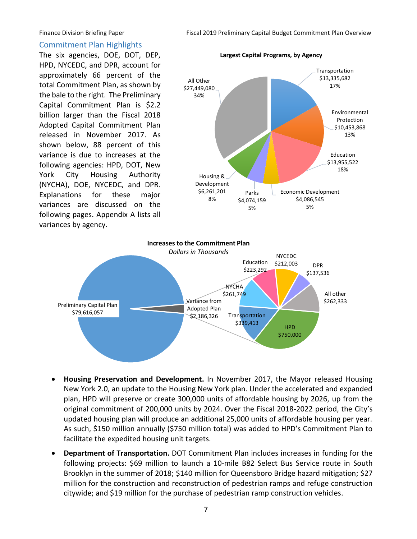#### <span id="page-9-0"></span>Commitment Plan Highlights

The six agencies, DOE, DOT, DEP, HPD, NYCEDC, and DPR, account for approximately 66 percent of the total Commitment Plan, as shown by the bale to the right. The Preliminary Capital Commitment Plan is \$2.2 billion larger than the Fiscal 2018 Adopted Capital Commitment Plan released in November 2017. As shown below, 88 percent of this variance is due to increases at the following agencies: HPD, DOT, New York City Housing Authority (NYCHA), DOE, NYCEDC, and DPR. Explanations for these major variances are discussed on the following pages. Appendix A lists all variances by agency.





- **Housing Preservation and Development.** In November 2017, the Mayor released Housing New York 2.0, an update to the Housing New York plan. Under the accelerated and expanded plan, HPD will preserve or create 300,000 units of affordable housing by 2026, up from the original commitment of 200,000 units by 2024. Over the Fiscal 2018-2022 period, the City's updated housing plan will produce an additional 25,000 units of affordable housing per year. As such, \$150 million annually (\$750 million total) was added to HPD's Commitment Plan to facilitate the expedited housing unit targets.
- **Department of Transportation.** DOT Commitment Plan includes increases in funding for the following projects: \$69 million to launch a 10-mile B82 Select Bus Service route in South Brooklyn in the summer of 2018; \$140 million for Queensboro Bridge hazard mitigation; \$27 million for the construction and reconstruction of pedestrian ramps and refuge construction citywide; and \$19 million for the purchase of pedestrian ramp construction vehicles.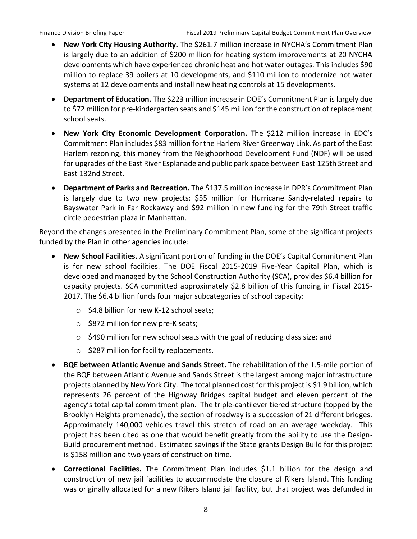- **New York City Housing Authority.** The \$261.7 million increase in NYCHA's Commitment Plan is largely due to an addition of \$200 million for heating system improvements at 20 NYCHA developments which have experienced chronic heat and hot water outages. This includes \$90 million to replace 39 boilers at 10 developments, and \$110 million to modernize hot water systems at 12 developments and install new heating controls at 15 developments.
- **Department of Education.** The \$223 million increase in DOE's Commitment Plan is largely due to \$72 million for pre-kindergarten seats and \$145 million for the construction of replacement school seats.
- **New York City Economic Development Corporation.** The \$212 million increase in EDC's Commitment Plan includes \$83 million for the Harlem River Greenway Link. As part of the East Harlem rezoning, this money from the Neighborhood Development Fund (NDF) will be used for upgrades of the East River Esplanade and public park space between East 125th Street and East 132nd Street.
- **Department of Parks and Recreation.** The \$137.5 million increase in DPR's Commitment Plan is largely due to two new projects: \$55 million for Hurricane Sandy-related repairs to Bayswater Park in Far Rockaway and \$92 million in new funding for the 79th Street traffic circle pedestrian plaza in Manhattan.

Beyond the changes presented in the Preliminary Commitment Plan, some of the significant projects funded by the Plan in other agencies include:

- **New School Facilities.** A significant portion of funding in the DOE's Capital Commitment Plan is for new school facilities. The DOE Fiscal 2015-2019 Five-Year Capital Plan, which is developed and managed by the School Construction Authority (SCA), provides \$6.4 billion for capacity projects. SCA committed approximately \$2.8 billion of this funding in Fiscal 2015- 2017. The \$6.4 billion funds four major subcategories of school capacity:
	- o \$4.8 billion for new K-12 school seats;
	- o \$872 million for new pre-K seats;
	- $\circ$  \$490 million for new school seats with the goal of reducing class size; and
	- o \$287 million for facility replacements.
- **BQE between Atlantic Avenue and Sands Street.** The rehabilitation of the 1.5-mile portion of the BQE between Atlantic Avenue and Sands Street is the largest among major infrastructure projects planned by New York City. The total planned cost for this project is \$1.9 billion, which represents 26 percent of the Highway Bridges capital budget and eleven percent of the agency's total capital commitment plan. The triple-cantilever tiered structure (topped by the Brooklyn Heights promenade), the section of roadway is a succession of 21 different bridges. Approximately 140,000 vehicles travel this stretch of road on an average weekday. This project has been cited as one that would benefit greatly from the ability to use the Design-Build procurement method. Estimated savings if the State grants Design Build for this project is \$158 million and two years of construction time.
- **Correctional Facilities.** The Commitment Plan includes \$1.1 billion for the design and construction of new jail facilities to accommodate the closure of Rikers Island. This funding was originally allocated for a new Rikers Island jail facility, but that project was defunded in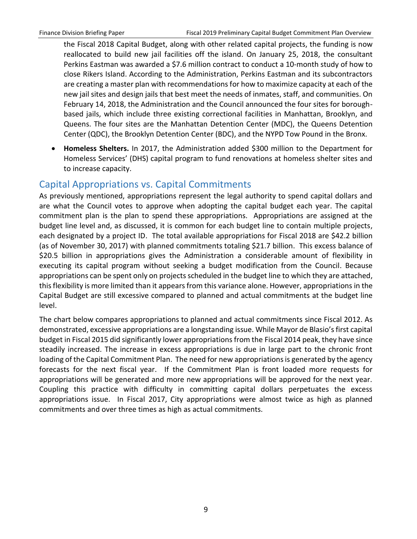the Fiscal 2018 Capital Budget, along with other related capital projects, the funding is now reallocated to build new jail facilities off the island. On January 25, 2018, the consultant Perkins Eastman was awarded a \$7.6 million contract to conduct a 10-month study of how to close Rikers Island. According to the Administration, Perkins Eastman and its subcontractors are creating a master plan with recommendations for how to maximize capacity at each of the new jail sites and design jails that best meet the needs of inmates, staff, and communities. On February 14, 2018, the Administration and the Council announced the four sites for boroughbased jails, which include three existing correctional facilities in Manhattan, Brooklyn, and Queens. The four sites are the Manhattan Detention Center (MDC), the Queens Detention Center (QDC), the Brooklyn Detention Center (BDC), and the NYPD Tow Pound in the Bronx.

 **Homeless Shelters.** In 2017, the Administration added \$300 million to the Department for Homeless Services' (DHS) capital program to fund renovations at homeless shelter sites and to increase capacity.

## <span id="page-11-0"></span>Capital Appropriations vs. Capital Commitments

As previously mentioned, appropriations represent the legal authority to spend capital dollars and are what the Council votes to approve when adopting the capital budget each year. The capital commitment plan is the plan to spend these appropriations. Appropriations are assigned at the budget line level and, as discussed, it is common for each budget line to contain multiple projects, each designated by a project ID. The total available appropriations for Fiscal 2018 are \$42.2 billion (as of November 30, 2017) with planned commitments totaling \$21.7 billion. This excess balance of \$20.5 billion in appropriations gives the Administration a considerable amount of flexibility in executing its capital program without seeking a budget modification from the Council. Because appropriations can be spent only on projects scheduled in the budget line to which they are attached, this flexibility is more limited than it appears from this variance alone. However, appropriations in the Capital Budget are still excessive compared to planned and actual commitments at the budget line level.

The chart below compares appropriations to planned and actual commitments since Fiscal 2012. As demonstrated, excessive appropriations are a longstanding issue. While Mayor de Blasio's first capital budget in Fiscal 2015 did significantly lower appropriations from the Fiscal 2014 peak, they have since steadily increased. The increase in excess appropriations is due in large part to the chronic front loading of the Capital Commitment Plan. The need for new appropriations is generated by the agency forecasts for the next fiscal year. If the Commitment Plan is front loaded more requests for appropriations will be generated and more new appropriations will be approved for the next year. Coupling this practice with difficulty in committing capital dollars perpetuates the excess appropriations issue. In Fiscal 2017, City appropriations were almost twice as high as planned commitments and over three times as high as actual commitments.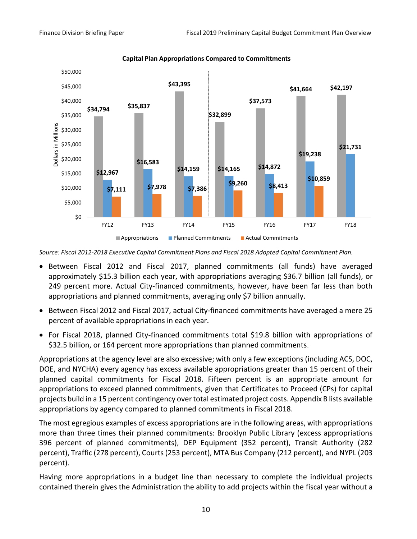

**Capital Plan Appropriations Compared to Committments**

*Source: Fiscal 2012-2018 Executive Capital Commitment Plans and Fiscal 2018 Adopted Capital Commitment Plan.* 

- Between Fiscal 2012 and Fiscal 2017, planned commitments (all funds) have averaged approximately \$15.3 billion each year, with appropriations averaging \$36.7 billion (all funds), or 249 percent more. Actual City-financed commitments, however, have been far less than both appropriations and planned commitments, averaging only \$7 billion annually.
- Between Fiscal 2012 and Fiscal 2017, actual City-financed commitments have averaged a mere 25 percent of available appropriations in each year.
- For Fiscal 2018, planned City-financed commitments total \$19.8 billion with appropriations of \$32.5 billion, or 164 percent more appropriations than planned commitments.

Appropriations at the agency level are also excessive; with only a few exceptions (including ACS, DOC, DOE, and NYCHA) every agency has excess available appropriations greater than 15 percent of their planned capital commitments for Fiscal 2018. Fifteen percent is an appropriate amount for appropriations to exceed planned commitments, given that Certificates to Proceed (CPs) for capital projects build in a 15 percent contingency over total estimated project costs. Appendix B lists available appropriations by agency compared to planned commitments in Fiscal 2018.

The most egregious examples of excess appropriations are in the following areas, with appropriations more than three times their planned commitments: Brooklyn Public Library (excess appropriations 396 percent of planned commitments), DEP Equipment (352 percent), Transit Authority (282 percent), Traffic (278 percent), Courts (253 percent), MTA Bus Company (212 percent), and NYPL (203 percent).

Having more appropriations in a budget line than necessary to complete the individual projects contained therein gives the Administration the ability to add projects within the fiscal year without a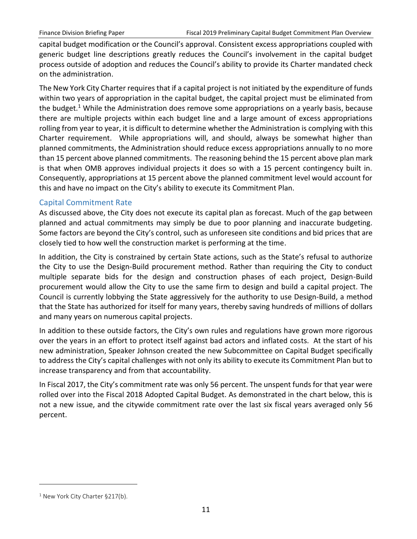capital budget modification or the Council's approval. Consistent excess appropriations coupled with generic budget line descriptions greatly reduces the Council's involvement in the capital budget process outside of adoption and reduces the Council's ability to provide its Charter mandated check on the administration.

The New York City Charter requires that if a capital project is not initiated by the expenditure of funds within two years of appropriation in the capital budget, the capital project must be eliminated from the budget.<sup>1</sup> While the Administration does remove some appropriations on a yearly basis, because there are multiple projects within each budget line and a large amount of excess appropriations rolling from year to year, it is difficult to determine whether the Administration is complying with this Charter requirement. While appropriations will, and should, always be somewhat higher than planned commitments, the Administration should reduce excess appropriations annually to no more than 15 percent above planned commitments. The reasoning behind the 15 percent above plan mark is that when OMB approves individual projects it does so with a 15 percent contingency built in. Consequently, appropriations at 15 percent above the planned commitment level would account for this and have no impact on the City's ability to execute its Commitment Plan.

#### <span id="page-13-0"></span>Capital Commitment Rate

As discussed above, the City does not execute its capital plan as forecast. Much of the gap between planned and actual commitments may simply be due to poor planning and inaccurate budgeting. Some factors are beyond the City's control, such as unforeseen site conditions and bid prices that are closely tied to how well the construction market is performing at the time.

In addition, the City is constrained by certain State actions, such as the State's refusal to authorize the City to use the Design-Build procurement method. Rather than requiring the City to conduct multiple separate bids for the design and construction phases of each project, Design-Build procurement would allow the City to use the same firm to design and build a capital project. The Council is currently lobbying the State aggressively for the authority to use Design-Build, a method that the State has authorized for itself for many years, thereby saving hundreds of millions of dollars and many years on numerous capital projects.

In addition to these outside factors, the City's own rules and regulations have grown more rigorous over the years in an effort to protect itself against bad actors and inflated costs. At the start of his new administration, Speaker Johnson created the new Subcommittee on Capital Budget specifically to address the City's capital challenges with not only its ability to execute its Commitment Plan but to increase transparency and from that accountability.

In Fiscal 2017, the City's commitment rate was only 56 percent. The unspent funds for that year were rolled over into the Fiscal 2018 Adopted Capital Budget. As demonstrated in the chart below, this is not a new issue, and the citywide commitment rate over the last six fiscal years averaged only 56 percent.

<sup>&</sup>lt;sup>1</sup> New York City Charter §217(b).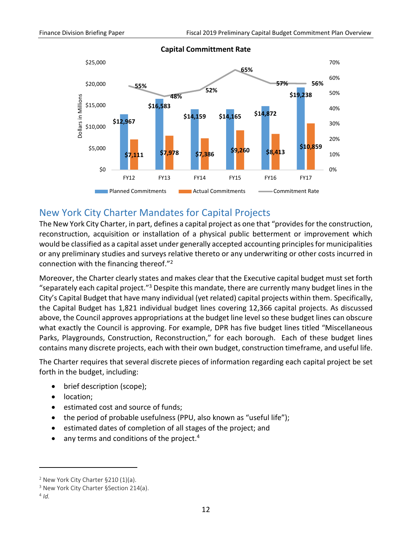

#### **Capital Committment Rate**

#### <span id="page-14-0"></span>New York City Charter Mandates for Capital Projects

The New York City Charter, in part, defines a capital project as one that "provides for the construction, reconstruction, acquisition or installation of a physical public betterment or improvement which would be classified as a capital asset under generally accepted accounting principles for municipalities or any preliminary studies and surveys relative thereto or any underwriting or other costs incurred in connection with the financing thereof."<sup>2</sup>

Moreover, the Charter clearly states and makes clear that the Executive capital budget must set forth "separately each capital project."<sup>3</sup> Despite this mandate, there are currently many budget lines in the City's Capital Budget that have many individual (yet related) capital projects within them. Specifically, the Capital Budget has 1,821 individual budget lines covering 12,366 capital projects. As discussed above, the Council approves appropriations at the budget line level so these budget lines can obscure what exactly the Council is approving. For example, DPR has five budget lines titled "Miscellaneous Parks, Playgrounds, Construction, Reconstruction," for each borough. Each of these budget lines contains many discrete projects, each with their own budget, construction timeframe, and useful life.

The Charter requires that several discrete pieces of information regarding each capital project be set forth in the budget, including:

- brief description (scope);
- location;
- estimated cost and source of funds;
- the period of probable usefulness (PPU, also known as "useful life");
- estimated dates of completion of all stages of the project; and
- $\bullet$  any terms and conditions of the project.<sup>4</sup>

 $2$  New York City Charter §210 (1)(a).

<sup>&</sup>lt;sup>3</sup> New York City Charter §Section 214(a).

<sup>4</sup> *Id.*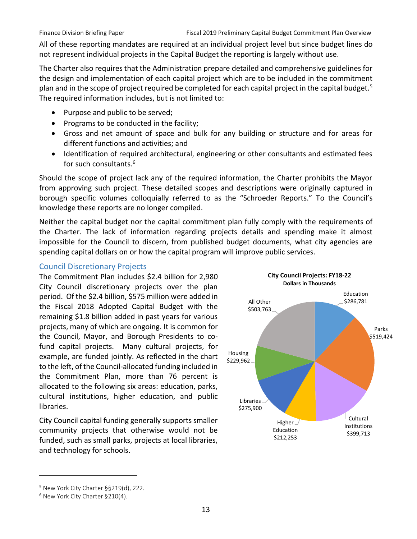All of these reporting mandates are required at an individual project level but since budget lines do not represent individual projects in the Capital Budget the reporting is largely without use.

The Charter also requires that the Administration prepare detailed and comprehensive guidelines for the design and implementation of each capital project which are to be included in the commitment plan and in the scope of project required be completed for each capital project in the capital budget.<sup>5</sup> The required information includes, but is not limited to:

- Purpose and public to be served;
- Programs to be conducted in the facility;
- Gross and net amount of space and bulk for any building or structure and for areas for different functions and activities; and
- Identification of required architectural, engineering or other consultants and estimated fees for such consultants.<sup>6</sup>

Should the scope of project lack any of the required information, the Charter prohibits the Mayor from approving such project. These detailed scopes and descriptions were originally captured in borough specific volumes colloquially referred to as the "Schroeder Reports." To the Council's knowledge these reports are no longer compiled.

Neither the capital budget nor the capital commitment plan fully comply with the requirements of the Charter. The lack of information regarding projects details and spending make it almost impossible for the Council to discern, from published budget documents, what city agencies are spending capital dollars on or how the capital program will improve public services.

#### <span id="page-15-0"></span>Council Discretionary Projects

The Commitment Plan includes \$2.4 billion for 2,980 City Council discretionary projects over the plan period. Of the \$2.4 billion, \$575 million were added in the Fiscal 2018 Adopted Capital Budget with the remaining \$1.8 billion added in past years for various projects, many of which are ongoing. It is common for the Council, Mayor, and Borough Presidents to cofund capital projects. Many cultural projects, for example, are funded jointly. As reflected in the chart to the left, of the Council-allocated funding included in the Commitment Plan, more than 76 percent is allocated to the following six areas: education, parks, cultural institutions, higher education, and public libraries.

City Council capital funding generally supports smaller community projects that otherwise would not be funded, such as small parks, projects at local libraries, and technology for schools.



<sup>5</sup> New York City Charter §§219(d), 222.

<sup>6</sup> New York City Charter §210(4).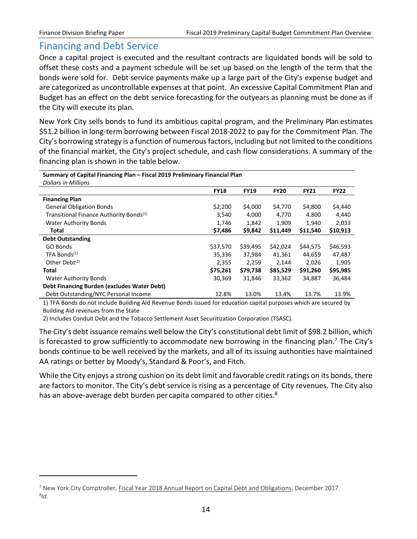$\overline{a}$ 

## <span id="page-16-0"></span>Financing and Debt Service

Once a capital project is executed and the resultant contracts are liquidated bonds will be sold to offset these costs and a payment schedule will be set up based on the length of the term that the bonds were sold for. Debt service payments make up a large part of the City's expense budget and are categorized as uncontrollable expenses at that point. An excessive Capital Commitment Plan and Budget has an effect on the debt service forecasting for the outyears as planning must be done as if the City will execute its plan.

New York City sells bonds to fund its ambitious capital program, and the Preliminary Plan estimates \$51.2 billion in long-term borrowing between Fiscal 2018-2022 to pay for the Commitment Plan. The City's borrowing strategy is a function of numerous factors, including but not limited to the conditions of the financial market, the City's project schedule, and cash flow considerations. A summary of the financing plan is shown in the table below.

| Summary of Capital Financing Plan - Fiscal 2019 Preliminary Financial Plan |             |             |             |             |             |
|----------------------------------------------------------------------------|-------------|-------------|-------------|-------------|-------------|
| <b>Dollars in Millions</b>                                                 |             |             |             |             |             |
|                                                                            | <b>FY18</b> | <b>FY19</b> | <b>FY20</b> | <b>FY21</b> | <b>FY22</b> |
| <b>Financing Plan</b>                                                      |             |             |             |             |             |
| <b>General Obligation Bonds</b>                                            | \$2,200     | \$4,000     | \$4,770     | \$4,800     | \$4,440     |
| Transitional Finance Authority Bonds <sup>(1)</sup>                        | 3,540       | 4,000       | 4,770       | 4,800       | 4,440       |
| <b>Water Authority Bonds</b>                                               | 1,746       | 1,842       | 1,909       | 1,940       | 2,033       |
| Total                                                                      | \$7,486     | \$9,842     | \$11,449    | \$11,540    | \$10,913    |
| <b>Debt Outstanding</b>                                                    |             |             |             |             |             |
| GO Bonds                                                                   | \$37,570    | \$39,495    | \$42,024    | \$44,575    | \$46,593    |
| TFA Bonds <sup>(1)</sup>                                                   | 35,336      | 37,984      | 41,361      | 44,659      | 47,487      |
| Other Debt $(2)$                                                           | 2,355       | 2,259       | 2,144       | 2,026       | 1,905       |
| Total                                                                      | \$75,261    | \$79,738    | \$85,529    | \$91,260    | \$95,985    |
| <b>Water Authority Bonds</b>                                               | 30,369      | 31,846      | 33,362      | 34,887      | 36,484      |
| <b>Debt Financing Burden (excludes Water Debt)</b>                         |             |             |             |             |             |
| Debt Outstanding/NYC Personal Income                                       | 12.8%       | 13.0%       | 13.4%       | 13.7%       | 13.9%       |
|                                                                            |             |             |             |             |             |

1) TFA Bonds do not include Building Aid Revenue Bonds issued for education capital purposes which are secured by Building Aid revenues from the State

2) Includes Conduit Debt and the Tobacco Settlement Asset Securitization Corporation (TSASC).

The City's debt issuance remains well below the City's constitutional debt limit of \$98.2 billion, which is forecasted to grow sufficiently to accommodate new borrowing in the financing plan.<sup>7</sup> The City's bonds continue to be well received by the markets, and all of its issuing authorities have maintained AA ratings or better by Moody's, Standard & Poor's, and Fitch.

While the City enjoys a strong cushion on its debt limit and favorable credit ratings on its bonds, there are factors to monitor. The City's debt service is rising as a percentage of City revenues. The City also has an above-average debt burden per capita compared to other cities. $8$ 

<sup>&</sup>lt;sup>7</sup> New York City Comptroller, Fiscal Year 2018 Annual Report on Capital Debt and Obligations, December 2017. 8 *Id.*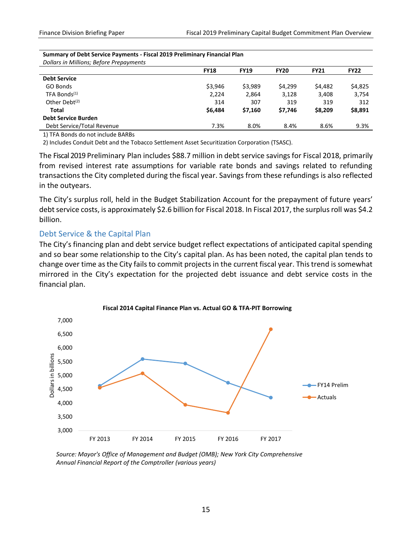| <b>FY18</b> | <b>FY19</b> | <b>FY20</b> | <b>FY21</b> | <b>FY22</b> |
|-------------|-------------|-------------|-------------|-------------|
|             |             |             |             |             |
| \$3,946     | \$3,989     | \$4,299     | \$4,482     | \$4,825     |
| 2,224       | 2,864       | 3,128       | 3,408       | 3,754       |
| 314         | 307         | 319         | 319         | 312         |
| \$6,484     | \$7,160     | \$7,746     | \$8,209     | \$8,891     |
|             |             |             |             |             |
| 7.3%        | 8.0%        | 8.4%        | 8.6%        | 9.3%        |
|             |             |             |             |             |

## **Summary of Debt Service Payments - Fiscal 2019 Preliminary Financial Plan**

1) TFA Bonds do not include BARBs

2) Includes Conduit Debt and the Tobacco Settlement Asset Securitization Corporation (TSASC).

The Fiscal 2019 Preliminary Plan includes \$88.7 million in debt service savings for Fiscal 2018, primarily from revised interest rate assumptions for variable rate bonds and savings related to refunding transactions the City completed during the fiscal year. Savings from these refundings is also reflected in the outyears.

The City's surplus roll, held in the Budget Stabilization Account for the prepayment of future years' debt service costs, is approximately \$2.6 billion for Fiscal 2018. In Fiscal 2017, the surplus roll was \$4.2 billion.

#### <span id="page-17-0"></span>Debt Service & the Capital Plan

The City's financing plan and debt service budget reflect expectations of anticipated capital spending and so bear some relationship to the City's capital plan. As has been noted, the capital plan tends to change over time as the City fails to commit projects in the current fiscal year. This trend is somewhat mirrored in the City's expectation for the projected debt issuance and debt service costs in the financial plan.



*Source: Mayor's Office of Management and Budget (OMB); New York City Comprehensive Annual Financial Report of the Comptroller (various years)*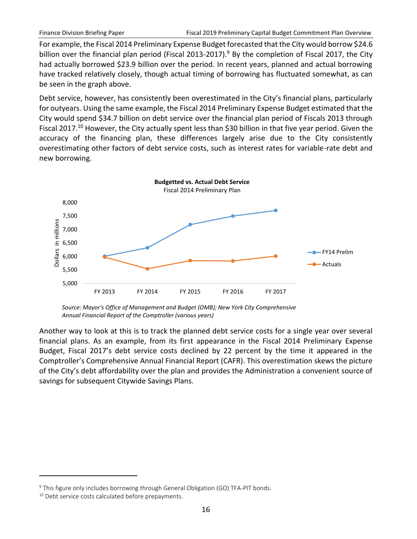For example, the Fiscal 2014 Preliminary Expense Budget forecasted that the City would borrow \$24.6 billion over the financial plan period (Fiscal 2013-2017).<sup>9</sup> By the completion of Fiscal 2017, the City had actually borrowed \$23.9 billion over the period. In recent years, planned and actual borrowing have tracked relatively closely, though actual timing of borrowing has fluctuated somewhat, as can be seen in the graph above.

Debt service, however, has consistently been overestimated in the City's financial plans, particularly for outyears. Using the same example, the Fiscal 2014 Preliminary Expense Budget estimated that the City would spend \$34.7 billion on debt service over the financial plan period of Fiscals 2013 through Fiscal 2017.<sup>10</sup> However, the City actually spent less than \$30 billion in that five year period. Given the accuracy of the financing plan, these differences largely arise due to the City consistently overestimating other factors of debt service costs, such as interest rates for variable-rate debt and new borrowing.



*Source: Mayor's Office of Management and Budget (OMB); New York City Comprehensive Annual Financial Report of the Comptroller (various years)*

Another way to look at this is to track the planned debt service costs for a single year over several financial plans. As an example, from its first appearance in the Fiscal 2014 Preliminary Expense Budget, Fiscal 2017's debt service costs declined by 22 percent by the time it appeared in the Comptroller's Comprehensive Annual Financial Report (CAFR). This overestimation skews the picture of the City's debt affordability over the plan and provides the Administration a convenient source of savings for subsequent Citywide Savings Plans.

<sup>&</sup>lt;sup>9</sup> This figure only includes borrowing through General Obligation (GO) TFA-PIT bonds.

<sup>&</sup>lt;sup>10</sup> Debt service costs calculated before prepayments.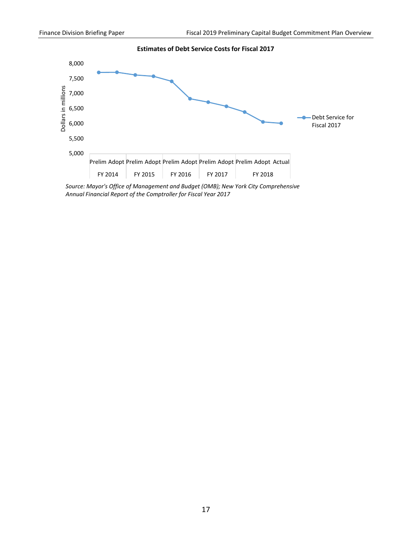

*Source: Mayor's Office of Management and Budget (OMB); New York City Comprehensive Annual Financial Report of the Comptroller for Fiscal Year 2017*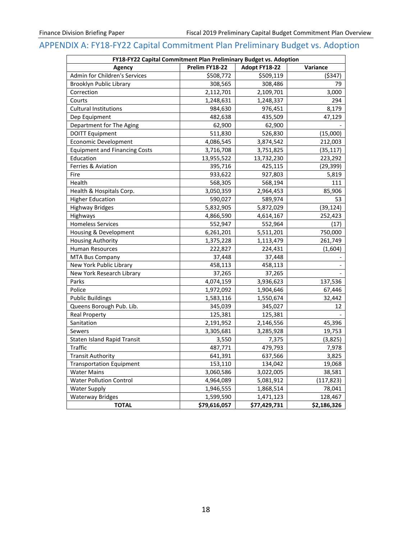## <span id="page-20-0"></span>APPENDIX A: FY18-FY22 Capital Commitment Plan Preliminary Budget vs. Adoption

| FY18-FY22 Capital Commitment Plan Preliminary Budget vs. Adoption |                |               |             |  |  |
|-------------------------------------------------------------------|----------------|---------------|-------------|--|--|
| <b>Agency</b>                                                     | Prelim FY18-22 | Adopt FY18-22 | Variance    |  |  |
| Admin for Children's Services                                     | \$508,772      | \$509,119     | (5347)      |  |  |
| Brooklyn Public Library                                           | 308,565        | 308,486       | 79          |  |  |
| Correction                                                        | 2,112,701      | 2,109,701     | 3,000       |  |  |
| Courts                                                            | 1,248,631      | 1,248,337     | 294         |  |  |
| <b>Cultural Institutions</b>                                      | 984,630        | 976,451       | 8,179       |  |  |
| Dep Equipment                                                     | 482,638        | 435,509       | 47,129      |  |  |
| Department for The Aging                                          | 62,900         | 62,900        |             |  |  |
| <b>DOITT Equipment</b>                                            | 511,830        | 526,830       | (15,000)    |  |  |
| <b>Economic Development</b>                                       | 4,086,545      | 3,874,542     | 212,003     |  |  |
| <b>Equipment and Financing Costs</b>                              | 3,716,708      | 3,751,825     | (35, 117)   |  |  |
| Education                                                         | 13,955,522     | 13,732,230    | 223,292     |  |  |
| Ferries & Aviation                                                | 395,716        | 425,115       | (29, 399)   |  |  |
| Fire                                                              | 933,622        | 927,803       | 5,819       |  |  |
| Health                                                            | 568,305        | 568,194       | 111         |  |  |
| Health & Hospitals Corp.                                          | 3,050,359      | 2,964,453     | 85,906      |  |  |
| <b>Higher Education</b>                                           | 590,027        | 589,974       | 53          |  |  |
| <b>Highway Bridges</b>                                            | 5,832,905      | 5,872,029     | (39, 124)   |  |  |
| Highways                                                          | 4,866,590      | 4,614,167     | 252,423     |  |  |
| <b>Homeless Services</b>                                          | 552,947        | 552,964       | (17)        |  |  |
| Housing & Development                                             | 6,261,201      | 5,511,201     | 750,000     |  |  |
| <b>Housing Authority</b>                                          | 1,375,228      | 1,113,479     | 261,749     |  |  |
| <b>Human Resources</b>                                            | 222,827        | 224,431       | (1,604)     |  |  |
| <b>MTA Bus Company</b>                                            | 37,448         | 37,448        |             |  |  |
| New York Public Library                                           | 458,113        | 458,113       |             |  |  |
| New York Research Library                                         | 37,265         | 37,265        |             |  |  |
| Parks                                                             | 4,074,159      | 3,936,623     | 137,536     |  |  |
| Police                                                            | 1,972,092      | 1,904,646     | 67,446      |  |  |
| <b>Public Buildings</b>                                           | 1,583,116      | 1,550,674     | 32,442      |  |  |
| Queens Borough Pub. Lib.                                          | 345,039        | 345,027       | 12          |  |  |
| <b>Real Property</b>                                              | 125,381        | 125,381       |             |  |  |
| Sanitation                                                        | 2,191,952      | 2,146,556     | 45,396      |  |  |
| Sewers                                                            | 3,305,681      | 3,285,928     | 19,753      |  |  |
| <b>Staten Island Rapid Transit</b>                                | 3,550          | 7,375         | (3,825)     |  |  |
| <b>Traffic</b>                                                    | 487,771        | 479,793       | 7,978       |  |  |
| <b>Transit Authority</b>                                          | 641,391        | 637,566       | 3,825       |  |  |
| <b>Transportation Equipment</b>                                   | 153,110        | 134,042       | 19,068      |  |  |
| <b>Water Mains</b>                                                | 3,060,586      | 3,022,005     | 38,581      |  |  |
| <b>Water Pollution Control</b>                                    | 4,964,089      | 5,081,912     | (117, 823)  |  |  |
| <b>Water Supply</b>                                               | 1,946,555      | 1,868,514     | 78,041      |  |  |
| <b>Waterway Bridges</b>                                           | 1,599,590      | 1,471,123     | 128,467     |  |  |
| <b>TOTAL</b>                                                      | \$79,616,057   | \$77,429,731  | \$2,186,326 |  |  |